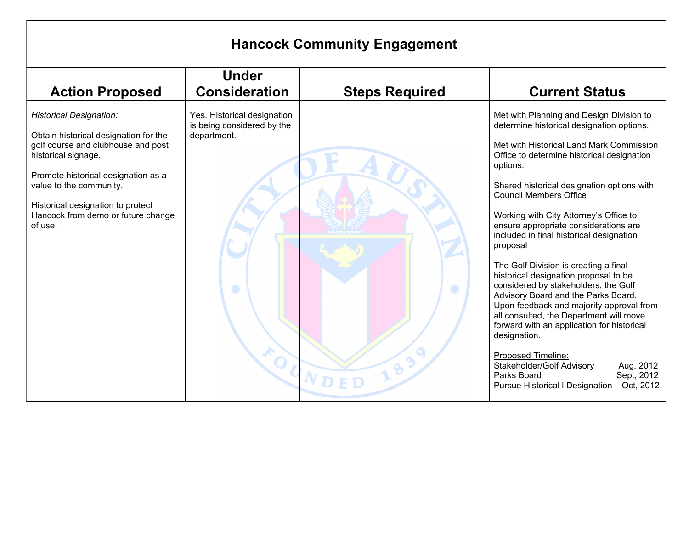| <b>Hancock Community Engagement</b>                                                                                                                                                                                                                                                          |                                                                               |                       |                                                                                                                                                                                                                                                                                                                                                                                                                                                                                                                                                                                                                                                                                                                                                                                                                                                                                                 |
|----------------------------------------------------------------------------------------------------------------------------------------------------------------------------------------------------------------------------------------------------------------------------------------------|-------------------------------------------------------------------------------|-----------------------|-------------------------------------------------------------------------------------------------------------------------------------------------------------------------------------------------------------------------------------------------------------------------------------------------------------------------------------------------------------------------------------------------------------------------------------------------------------------------------------------------------------------------------------------------------------------------------------------------------------------------------------------------------------------------------------------------------------------------------------------------------------------------------------------------------------------------------------------------------------------------------------------------|
| <b>Action Proposed</b>                                                                                                                                                                                                                                                                       | <b>Under</b><br><b>Consideration</b>                                          | <b>Steps Required</b> | <b>Current Status</b>                                                                                                                                                                                                                                                                                                                                                                                                                                                                                                                                                                                                                                                                                                                                                                                                                                                                           |
| <b>Historical Designation:</b><br>Obtain historical designation for the<br>golf course and clubhouse and post<br>historical signage.<br>Promote historical designation as a<br>value to the community.<br>Historical designation to protect<br>Hancock from demo or future change<br>of use. | Yes. Historical designation<br>is being considered by the<br>department.<br>O | O                     | Met with Planning and Design Division to<br>determine historical designation options.<br>Met with Historical Land Mark Commission<br>Office to determine historical designation<br>options.<br>Shared historical designation options with<br><b>Council Members Office</b><br>Working with City Attorney's Office to<br>ensure appropriate considerations are<br>included in final historical designation<br>proposal<br>The Golf Division is creating a final<br>historical designation proposal to be<br>considered by stakeholders, the Golf<br>Advisory Board and the Parks Board.<br>Upon feedback and majority approval from<br>all consulted, the Department will move<br>forward with an application for historical<br>designation.<br>Proposed Timeline:<br>Stakeholder/Golf Advisory<br>Aug, 2012<br>Parks Board<br>Sept, 2012<br><b>Pursue Historical I Designation</b><br>Oct, 2012 |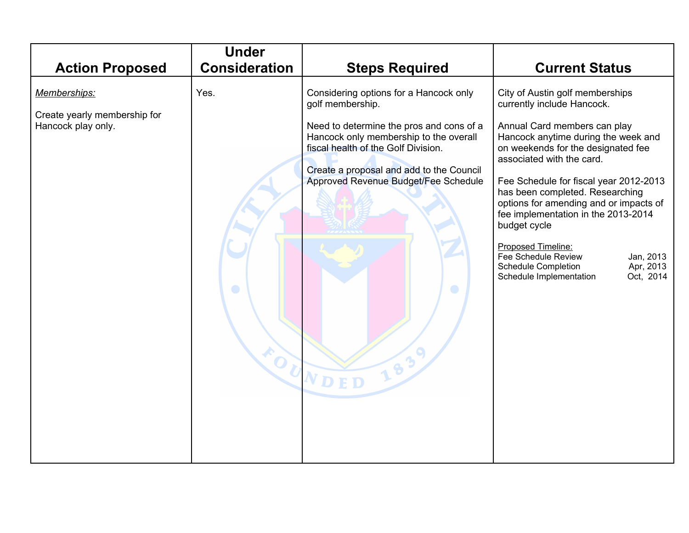| <b>Action Proposed</b>                                             | <b>Under</b><br><b>Consideration</b> | <b>Steps Required</b>                                                                                                                                                                                                                                                                               | <b>Current Status</b>                                                                                                                                                                                                                                                                                                                                                                                                                                                                                                                     |
|--------------------------------------------------------------------|--------------------------------------|-----------------------------------------------------------------------------------------------------------------------------------------------------------------------------------------------------------------------------------------------------------------------------------------------------|-------------------------------------------------------------------------------------------------------------------------------------------------------------------------------------------------------------------------------------------------------------------------------------------------------------------------------------------------------------------------------------------------------------------------------------------------------------------------------------------------------------------------------------------|
| Memberships:<br>Create yearly membership for<br>Hancock play only. | Yes.<br>O                            | Considering options for a Hancock only<br>golf membership.<br>Need to determine the pros and cons of a<br>Hancock only membership to the overall<br>fiscal health of the Golf Division.<br>Create a proposal and add to the Council<br>Approved Revenue Budget/Fee Schedule<br>$\bigcirc$<br>CUNDED | City of Austin golf memberships<br>currently include Hancock.<br>Annual Card members can play<br>Hancock anytime during the week and<br>on weekends for the designated fee<br>associated with the card.<br>Fee Schedule for fiscal year 2012-2013<br>has been completed. Researching<br>options for amending and or impacts of<br>fee implementation in the 2013-2014<br>budget cycle<br>Proposed Timeline:<br><b>Fee Schedule Review</b><br>Jan, 2013<br>Apr, 2013<br><b>Schedule Completion</b><br>Oct, 2014<br>Schedule Implementation |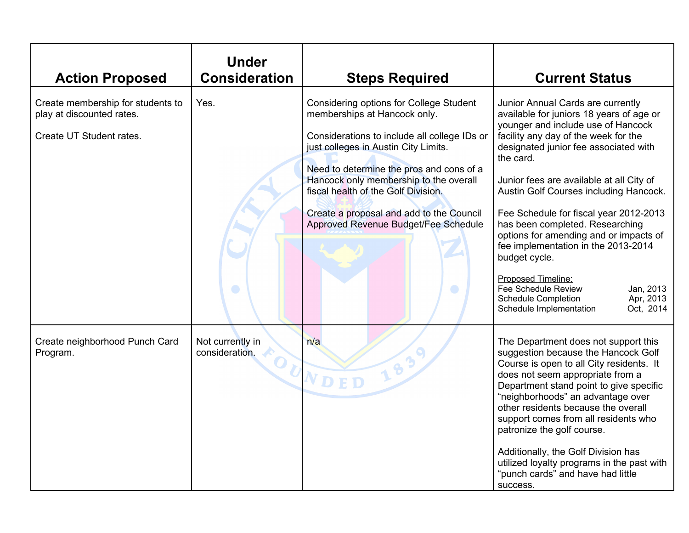| <b>Action Proposed</b>                                                                     | <b>Under</b><br><b>Consideration</b> | <b>Steps Required</b>                                                                                                                                                                                                                                                                                                                                                                                 | <b>Current Status</b>                                                                                                                                                                                                                                                                                                                                                                                                                                                                                                                                                                                                               |
|--------------------------------------------------------------------------------------------|--------------------------------------|-------------------------------------------------------------------------------------------------------------------------------------------------------------------------------------------------------------------------------------------------------------------------------------------------------------------------------------------------------------------------------------------------------|-------------------------------------------------------------------------------------------------------------------------------------------------------------------------------------------------------------------------------------------------------------------------------------------------------------------------------------------------------------------------------------------------------------------------------------------------------------------------------------------------------------------------------------------------------------------------------------------------------------------------------------|
| Create membership for students to<br>play at discounted rates.<br>Create UT Student rates. | Yes.<br>$\bullet$                    | <b>Considering options for College Student</b><br>memberships at Hancock only.<br>Considerations to include all college IDs or<br>just colleges in Austin City Limits.<br>Need to determine the pros and cons of a<br>Hancock only membership to the overall<br>fiscal health of the Golf Division.<br>Create a proposal and add to the Council<br>Approved Revenue Budget/Fee Schedule<br>$\bigcirc$ | Junior Annual Cards are currently<br>available for juniors 18 years of age or<br>younger and include use of Hancock<br>facility any day of the week for the<br>designated junior fee associated with<br>the card.<br>Junior fees are available at all City of<br>Austin Golf Courses including Hancock.<br>Fee Schedule for fiscal year 2012-2013<br>has been completed. Researching<br>options for amending and or impacts of<br>fee implementation in the 2013-2014<br>budget cycle.<br>Proposed Timeline:<br>Fee Schedule Review<br>Jan, 2013<br>Apr, 2013<br><b>Schedule Completion</b><br>Schedule Implementation<br>Oct, 2014 |
| Create neighborhood Punch Card<br>Program.                                                 | Not currently in<br>consideration.   | n/a<br>183<br>OUNDED                                                                                                                                                                                                                                                                                                                                                                                  | The Department does not support this<br>suggestion because the Hancock Golf<br>Course is open to all City residents. It<br>does not seem appropriate from a<br>Department stand point to give specific<br>"neighborhoods" an advantage over<br>other residents because the overall<br>support comes from all residents who<br>patronize the golf course.<br>Additionally, the Golf Division has<br>utilized loyalty programs in the past with<br>"punch cards" and have had little<br>success.                                                                                                                                      |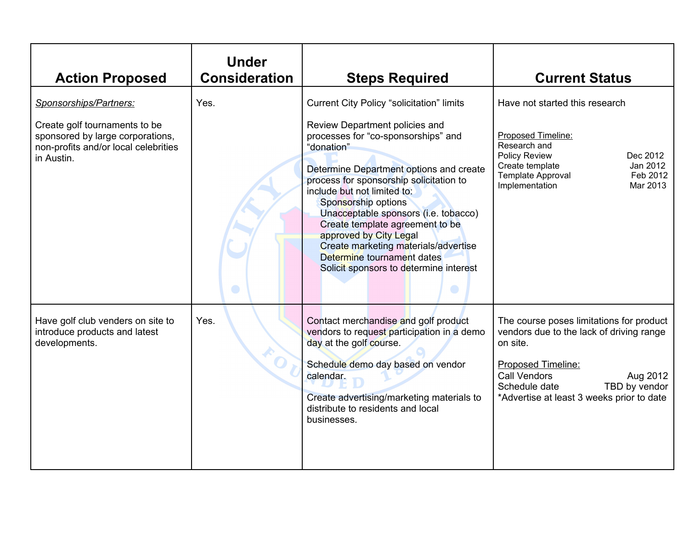| <b>Action Proposed</b>                                                                                                                            | <b>Under</b><br><b>Consideration</b> | <b>Steps Required</b>                                                                                                                                                                                                                                                                                                                                                                                                                                                                                    | <b>Current Status</b>                                                                                                                                                                                                                    |
|---------------------------------------------------------------------------------------------------------------------------------------------------|--------------------------------------|----------------------------------------------------------------------------------------------------------------------------------------------------------------------------------------------------------------------------------------------------------------------------------------------------------------------------------------------------------------------------------------------------------------------------------------------------------------------------------------------------------|------------------------------------------------------------------------------------------------------------------------------------------------------------------------------------------------------------------------------------------|
| Sponsorships/Partners:<br>Create golf tournaments to be<br>sponsored by large corporations,<br>non-profits and/or local celebrities<br>in Austin. | Yes.<br>$\bigcirc$                   | <b>Current City Policy "solicitation" limits</b><br>Review Department policies and<br>processes for "co-sponsorships" and<br>"donation"<br>Determine Department options and create<br>process for sponsorship solicitation to<br>include but not limited to:<br>Sponsorship options<br>Unacceptable sponsors (i.e. tobacco)<br>Create template agreement to be<br>approved by City Legal<br>Create marketing materials/advertise<br>Determine tournament dates<br>Solicit sponsors to determine interest | Have not started this research<br>Proposed Timeline:<br>Research and<br><b>Policy Review</b><br>Dec 2012<br>Jan 2012<br>Create template<br><b>Template Approval</b><br>Feb 2012<br>Mar 2013<br>Implementation                            |
| Have golf club venders on site to<br>introduce products and latest<br>developments.                                                               | Yes.                                 | Contact merchandise and golf product<br>vendors to request participation in a demo<br>day at the golf course.<br>Schedule demo day based on vendor<br>calendar.<br>Create advertising/marketing materials to<br>distribute to residents and local<br>businesses.                                                                                                                                                                                                                                         | The course poses limitations for product<br>vendors due to the lack of driving range<br>on site.<br>Proposed Timeline:<br><b>Call Vendors</b><br>Aug 2012<br>TBD by vendor<br>Schedule date<br>*Advertise at least 3 weeks prior to date |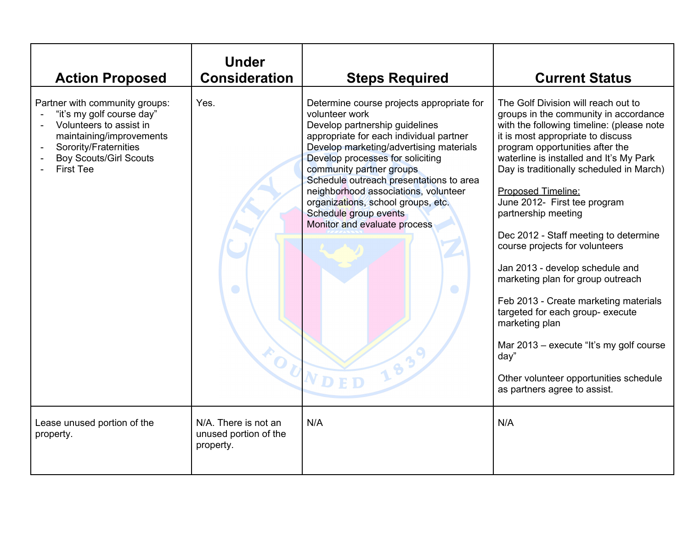| <b>Action Proposed</b>                                                                                                                                                                           | <b>Under</b><br><b>Consideration</b>                       | <b>Steps Required</b>                                                                                                                                                                                                                                                                                                                                                                                                                                              | <b>Current Status</b>                                                                                                                                                                                                                                                                                                                                                                                                                                                                                                                                                                                                                                                                                                                                 |
|--------------------------------------------------------------------------------------------------------------------------------------------------------------------------------------------------|------------------------------------------------------------|--------------------------------------------------------------------------------------------------------------------------------------------------------------------------------------------------------------------------------------------------------------------------------------------------------------------------------------------------------------------------------------------------------------------------------------------------------------------|-------------------------------------------------------------------------------------------------------------------------------------------------------------------------------------------------------------------------------------------------------------------------------------------------------------------------------------------------------------------------------------------------------------------------------------------------------------------------------------------------------------------------------------------------------------------------------------------------------------------------------------------------------------------------------------------------------------------------------------------------------|
| Partner with community groups:<br>"it's my golf course day"<br>Volunteers to assist in<br>maintaining/improvements<br>Sorority/Fraternities<br><b>Boy Scouts/Girl Scouts</b><br><b>First Tee</b> | Yes.<br>$\Box$<br>$k_{O_U}$                                | Determine course projects appropriate for<br>volunteer work<br>Develop partnership guidelines<br>appropriate for each individual partner<br>Develop marketing/advertising materials<br>Develop processes for soliciting<br>community partner groups<br>Schedule outreach presentations to area<br>neighborhood associations, volunteer<br>organizations, school groups, etc.<br>Schedule group events<br>Monitor and evaluate process<br>$\bigcirc$<br>183<br>NDED | The Golf Division will reach out to<br>groups in the community in accordance<br>with the following timeline: (please note<br>it is most appropriate to discuss<br>program opportunities after the<br>waterline is installed and It's My Park<br>Day is traditionally scheduled in March)<br>Proposed Timeline:<br>June 2012- First tee program<br>partnership meeting<br>Dec 2012 - Staff meeting to determine<br>course projects for volunteers<br>Jan 2013 - develop schedule and<br>marketing plan for group outreach<br>Feb 2013 - Create marketing materials<br>targeted for each group- execute<br>marketing plan<br>Mar 2013 – execute "It's my golf course"<br>day"<br>Other volunteer opportunities schedule<br>as partners agree to assist. |
| Lease unused portion of the<br>property.                                                                                                                                                         | N/A. There is not an<br>unused portion of the<br>property. | N/A                                                                                                                                                                                                                                                                                                                                                                                                                                                                | N/A                                                                                                                                                                                                                                                                                                                                                                                                                                                                                                                                                                                                                                                                                                                                                   |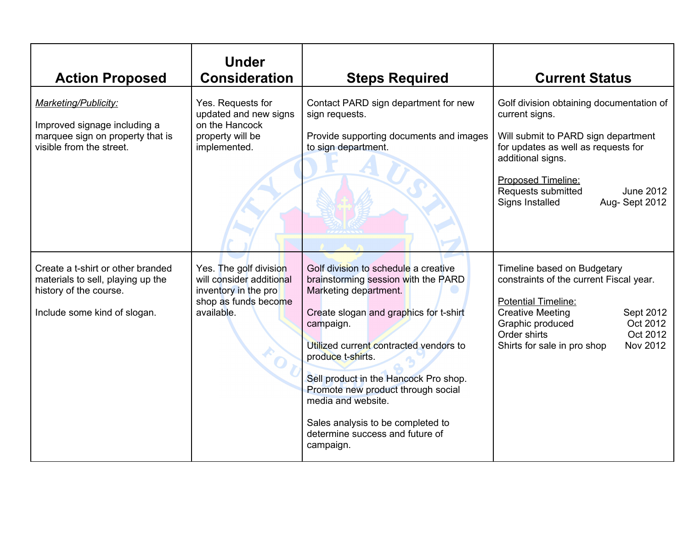| <b>Action Proposed</b>                                                                                                           | <b>Under</b><br><b>Consideration</b>                                                                             | <b>Steps Required</b>                                                                                                                                                                                                                                                                                                                                                                                                | <b>Current Status</b>                                                                                                                                                                                                                                             |
|----------------------------------------------------------------------------------------------------------------------------------|------------------------------------------------------------------------------------------------------------------|----------------------------------------------------------------------------------------------------------------------------------------------------------------------------------------------------------------------------------------------------------------------------------------------------------------------------------------------------------------------------------------------------------------------|-------------------------------------------------------------------------------------------------------------------------------------------------------------------------------------------------------------------------------------------------------------------|
| <b>Marketing/Publicity:</b><br>Improved signage including a<br>marquee sign on property that is<br>visible from the street.      | Yes. Requests for<br>updated and new signs<br>on the Hancock<br>property will be<br>implemented.                 | Contact PARD sign department for new<br>sign requests.<br>Provide supporting documents and images<br>to sign department.                                                                                                                                                                                                                                                                                             | Golf division obtaining documentation of<br>current signs.<br>Will submit to PARD sign department<br>for updates as well as requests for<br>additional signs.<br>Proposed Timeline:<br>Requests submitted<br><b>June 2012</b><br>Aug-Sept 2012<br>Signs Installed |
| Create a t-shirt or other branded<br>materials to sell, playing up the<br>history of the course.<br>Include some kind of slogan. | Yes. The golf division<br>will consider additional<br>inventory in the pro<br>shop as funds become<br>available. | Golf division to schedule a creative<br>brainstorming session with the PARD<br>Marketing department.<br>Create slogan and graphics for t-shirt<br>campaign.<br>Utilized current contracted vendors to<br>produce t-shirts.<br>Sell product in the Hancock Pro shop.<br>Promote new product through social<br>media and website.<br>Sales analysis to be completed to<br>determine success and future of<br>campaign. | Timeline based on Budgetary<br>constraints of the current Fiscal year.<br><b>Potential Timeline:</b><br><b>Creative Meeting</b><br>Sept 2012<br>Oct 2012<br>Graphic produced<br>Oct 2012<br>Order shirts<br>Shirts for sale in pro shop<br>Nov 2012               |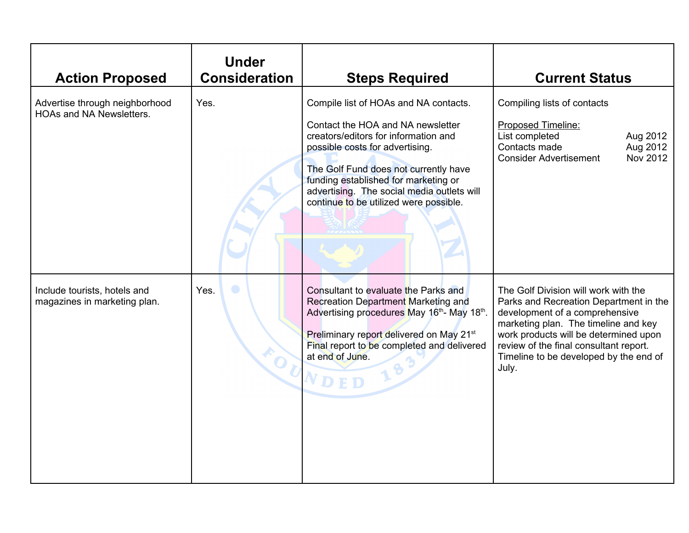| <b>Action Proposed</b>                                            | <b>Under</b><br><b>Consideration</b> | <b>Steps Required</b>                                                                                                                                                                                                                                                                                                          | <b>Current Status</b>                                                                                                                                                                                                                                                                          |
|-------------------------------------------------------------------|--------------------------------------|--------------------------------------------------------------------------------------------------------------------------------------------------------------------------------------------------------------------------------------------------------------------------------------------------------------------------------|------------------------------------------------------------------------------------------------------------------------------------------------------------------------------------------------------------------------------------------------------------------------------------------------|
| Advertise through neighborhood<br><b>HOAs and NA Newsletters.</b> | Yes.                                 | Compile list of HOAs and NA contacts.<br>Contact the HOA and NA newsletter<br>creators/editors for information and<br>possible costs for advertising.<br>The Golf Fund does not currently have<br>funding established for marketing or<br>advertising. The social media outlets will<br>continue to be utilized were possible. | Compiling lists of contacts<br><b>Proposed Timeline:</b><br>List completed<br>Aug 2012<br>Aug 2012<br>Contacts made<br>Nov 2012<br><b>Consider Advertisement</b>                                                                                                                               |
| Include tourists, hotels and<br>magazines in marketing plan.      | Yes.<br>FOU                          | Consultant to evaluate the Parks and<br>Recreation Department Marketing and<br>Advertising procedures May 16th- May 18th.<br>Preliminary report delivered on May 21 <sup>st</sup><br>Final report to be completed and delivered<br>at end of June.<br>$\bf{e}$<br>NDED                                                         | The Golf Division will work with the<br>Parks and Recreation Department in the<br>development of a comprehensive<br>marketing plan. The timeline and key<br>work products will be determined upon<br>review of the final consultant report.<br>Timeline to be developed by the end of<br>July. |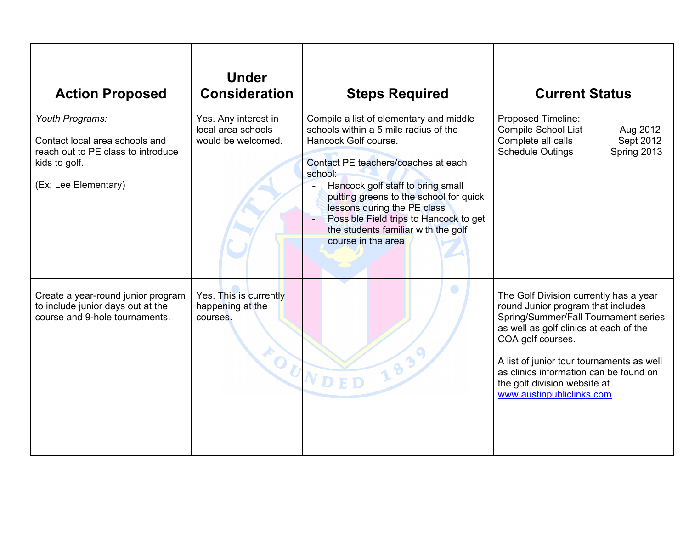| <b>Action Proposed</b>                                                                                                           | <b>Under</b><br><b>Consideration</b>                             | <b>Steps Required</b>                                                                                                                                                                                                                                                                                                                                                           | <b>Current Status</b>                                                                                                                                                                                                                                                                                                                   |
|----------------------------------------------------------------------------------------------------------------------------------|------------------------------------------------------------------|---------------------------------------------------------------------------------------------------------------------------------------------------------------------------------------------------------------------------------------------------------------------------------------------------------------------------------------------------------------------------------|-----------------------------------------------------------------------------------------------------------------------------------------------------------------------------------------------------------------------------------------------------------------------------------------------------------------------------------------|
| Youth Programs:<br>Contact local area schools and<br>reach out to PE class to introduce<br>kids to golf.<br>(Ex: Lee Elementary) | Yes. Any interest in<br>local area schools<br>would be welcomed. | Compile a list of elementary and middle<br>schools within a 5 mile radius of the<br>Hancock Golf course.<br>Contact PE teachers/coaches at each<br>school:<br>Hancock golf staff to bring small<br>putting greens to the school for quick<br>lessons during the PE class<br>Possible Field trips to Hancock to get<br>the students familiar with the golf<br>course in the area | Proposed Timeline:<br>Compile School List<br>Aug 2012<br>Complete all calls<br>Sept 2012<br>Spring 2013<br><b>Schedule Outings</b>                                                                                                                                                                                                      |
| Create a year-round junior program<br>to include junior days out at the<br>course and 9-hole tournaments.                        | Yes. This is currently<br>happening at the<br>courses.           | FOUNDED<br>183                                                                                                                                                                                                                                                                                                                                                                  | The Golf Division currently has a year<br>round Junior program that includes<br>Spring/Summer/Fall Tournament series<br>as well as golf clinics at each of the<br>COA golf courses.<br>A list of junior tour tournaments as well<br>as clinics information can be found on<br>the golf division website at<br>www.austinpubliclinks.com |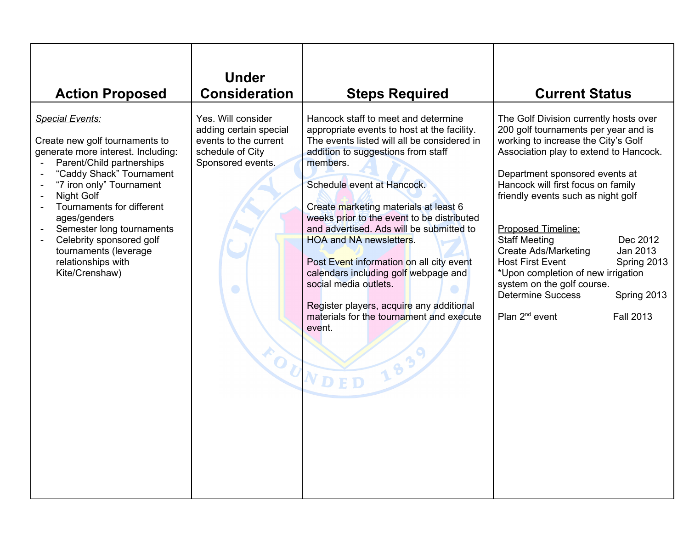| <b>Action Proposed</b>                                                                                                                                                                                                                                                                                                                                                                               | <b>Under</b><br><b>Consideration</b>                                                                                         | <b>Steps Required</b>                                                                                                                                                                                                                                                                                                                                                                                                                                                                                                                                                                                                    | <b>Current Status</b>                                                                                                                                                                                                                                                                                                                                                                                                                                                                                                                                                                         |
|------------------------------------------------------------------------------------------------------------------------------------------------------------------------------------------------------------------------------------------------------------------------------------------------------------------------------------------------------------------------------------------------------|------------------------------------------------------------------------------------------------------------------------------|--------------------------------------------------------------------------------------------------------------------------------------------------------------------------------------------------------------------------------------------------------------------------------------------------------------------------------------------------------------------------------------------------------------------------------------------------------------------------------------------------------------------------------------------------------------------------------------------------------------------------|-----------------------------------------------------------------------------------------------------------------------------------------------------------------------------------------------------------------------------------------------------------------------------------------------------------------------------------------------------------------------------------------------------------------------------------------------------------------------------------------------------------------------------------------------------------------------------------------------|
| <b>Special Events:</b><br>Create new golf tournaments to<br>generate more interest. Including:<br>Parent/Child partnerships<br>"Caddy Shack" Tournament<br>"7 iron only" Tournament<br>Night Golf<br>$\overline{\phantom{a}}$<br>Tournaments for different<br>ages/genders<br>Semester long tournaments<br>Celebrity sponsored golf<br>tournaments (leverage<br>relationships with<br>Kite/Crenshaw) | Yes. Will consider<br>adding certain special<br>events to the current<br>schedule of City<br>Sponsored events.<br>$\bigcirc$ | Hancock staff to meet and determine<br>appropriate events to host at the facility.<br>The events listed will all be considered in<br>addition to suggestions from staff<br>members.<br>Schedule event at Hancock.<br>Create marketing materials at least 6<br>weeks prior to the event to be distributed<br>and advertised. Ads will be submitted to<br><b>HOA and NA newsletters.</b><br>Post Event information on all city event<br>calendars including golf webpage and<br>social media outlets.<br>Register players, acquire any additional<br>materials for the tournament and execute<br>event.<br>FOUNDED<br>1839 | The Golf Division currently hosts over<br>200 golf tournaments per year and is<br>working to increase the City's Golf<br>Association play to extend to Hancock.<br>Department sponsored events at<br>Hancock will first focus on family<br>friendly events such as night golf<br>Proposed Timeline:<br><b>Staff Meeting</b><br>Dec 2012<br><b>Create Ads/Marketing</b><br>Jan 2013<br>Spring 2013<br><b>Host First Event</b><br>*Upon completion of new irrigation<br>system on the golf course.<br><b>Determine Success</b><br>Spring 2013<br>Plan 2 <sup>nd</sup> event<br><b>Fall 2013</b> |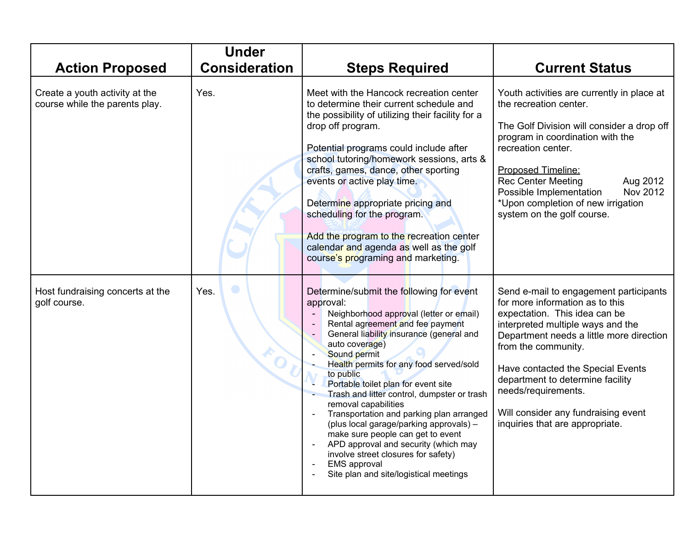|                                                                  | <b>Under</b>         |                                                                                                                                                                                                                                                                                                                                                                                                                                                                                                                                                                                                                                                                      |                                                                                                                                                                                                                                                                                                                                                                                              |
|------------------------------------------------------------------|----------------------|----------------------------------------------------------------------------------------------------------------------------------------------------------------------------------------------------------------------------------------------------------------------------------------------------------------------------------------------------------------------------------------------------------------------------------------------------------------------------------------------------------------------------------------------------------------------------------------------------------------------------------------------------------------------|----------------------------------------------------------------------------------------------------------------------------------------------------------------------------------------------------------------------------------------------------------------------------------------------------------------------------------------------------------------------------------------------|
| <b>Action Proposed</b>                                           | <b>Consideration</b> | <b>Steps Required</b>                                                                                                                                                                                                                                                                                                                                                                                                                                                                                                                                                                                                                                                | <b>Current Status</b>                                                                                                                                                                                                                                                                                                                                                                        |
| Create a youth activity at the<br>course while the parents play. | Yes.                 | Meet with the Hancock recreation center<br>to determine their current schedule and<br>the possibility of utilizing their facility for a<br>drop off program.<br>Potential programs could include after<br>school tutoring/homework sessions, arts &<br>crafts, games, dance, other sporting<br>events or active play time.<br>Determine appropriate pricing and<br>scheduling for the program.<br>Add the program to the recreation center<br>calendar and agenda as well as the golf<br>course's programing and marketing.                                                                                                                                          | Youth activities are currently in place at<br>the recreation center.<br>The Golf Division will consider a drop off<br>program in coordination with the<br>recreation center.<br>Proposed Timeline:<br><b>Rec Center Meeting</b><br>Aug 2012<br>Nov 2012<br>Possible Implementation<br>*Upon completion of new irrigation<br>system on the golf course.                                       |
| Host fundraising concerts at the<br>golf course.                 | $\bullet$<br>Yes.    | Determine/submit the following for event<br>approval:<br>Neighborhood approval (letter or email)<br>Rental agreement and fee payment<br>General liability insurance (general and<br>auto coverage)<br>Sound permit<br>Health permits for any food served/sold<br>to public<br>Portable toilet plan for event site<br>Trash and litter control, dumpster or trash<br>removal capabilities<br>Transportation and parking plan arranged<br>(plus local garage/parking approvals) -<br>make sure people can get to event<br>APD approval and security (which may<br>involve street closures for safety)<br><b>EMS</b> approval<br>Site plan and site/logistical meetings | Send e-mail to engagement participants<br>for more information as to this<br>expectation. This idea can be<br>interpreted multiple ways and the<br>Department needs a little more direction<br>from the community.<br>Have contacted the Special Events<br>department to determine facility<br>needs/requirements.<br>Will consider any fundraising event<br>inquiries that are appropriate. |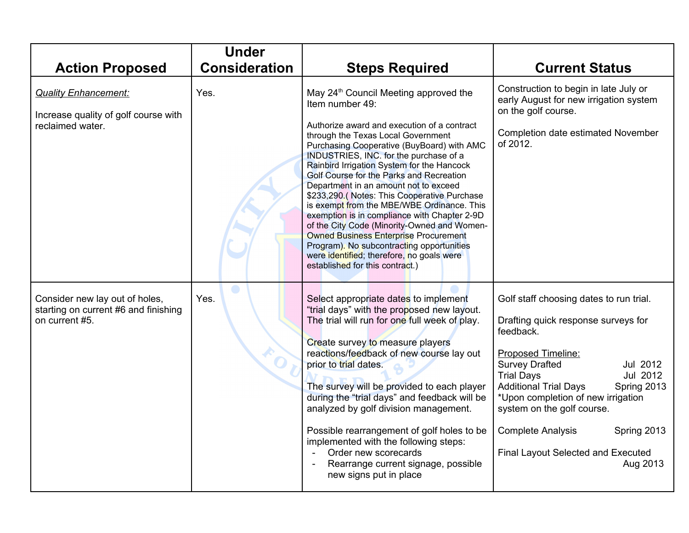|                                                                                          | <b>Under</b>         |                                                                                                                                                                                                                                                                                                                                                                                                                                                                                                                                                                                                                                                                                       |                                                                                                                                                                                                                                                                                                                                                                                                                |
|------------------------------------------------------------------------------------------|----------------------|---------------------------------------------------------------------------------------------------------------------------------------------------------------------------------------------------------------------------------------------------------------------------------------------------------------------------------------------------------------------------------------------------------------------------------------------------------------------------------------------------------------------------------------------------------------------------------------------------------------------------------------------------------------------------------------|----------------------------------------------------------------------------------------------------------------------------------------------------------------------------------------------------------------------------------------------------------------------------------------------------------------------------------------------------------------------------------------------------------------|
| <b>Action Proposed</b>                                                                   | <b>Consideration</b> | <b>Steps Required</b>                                                                                                                                                                                                                                                                                                                                                                                                                                                                                                                                                                                                                                                                 | <b>Current Status</b>                                                                                                                                                                                                                                                                                                                                                                                          |
| <b>Quality Enhancement:</b><br>Increase quality of golf course with                      | Yes.                 | May 24 <sup>th</sup> Council Meeting approved the<br>Item number 49:                                                                                                                                                                                                                                                                                                                                                                                                                                                                                                                                                                                                                  | Construction to begin in late July or<br>early August for new irrigation system<br>on the golf course.                                                                                                                                                                                                                                                                                                         |
| reclaimed water.                                                                         |                      | Authorize award and execution of a contract<br>through the Texas Local Government<br>Purchasing Cooperative (BuyBoard) with AMC<br>INDUSTRIES, INC. for the purchase of a<br>Rainbird Irrigation System for the Hancock<br>Golf Course for the Parks and Recreation<br>Department in an amount not to exceed<br>\$233,290.(Notes: This Cooperative Purchase<br>is exempt from the MBE/WBE Ordinance. This<br>exemption is in compliance with Chapter 2-9D<br>of the City Code (Minority-Owned and Women-<br><b>Owned Business Enterprise Procurement</b><br>Program). No subcontracting opportunities<br>were identified; therefore, no goals were<br>established for this contract.) | Completion date estimated November<br>of 2012.                                                                                                                                                                                                                                                                                                                                                                 |
| Consider new lay out of holes,<br>starting on current #6 and finishing<br>on current #5. | Yes.                 | Select appropriate dates to implement<br>"trial days" with the proposed new layout.<br>The trial will run for one full week of play.<br>Create survey to measure players<br>reactions/feedback of new course lay out<br>prior to trial dates.<br>The survey will be provided to each player<br>during the "trial days" and feedback will be<br>analyzed by golf division management.<br>Possible rearrangement of golf holes to be<br>implemented with the following steps:<br>Order new scorecards<br>Rearrange current signage, possible<br>new signs put in place                                                                                                                  | Golf staff choosing dates to run trial.<br>Drafting quick response surveys for<br>feedback.<br><b>Proposed Timeline:</b><br><b>Survey Drafted</b><br>Jul 2012<br><b>Trial Days</b><br>Jul 2012<br><b>Additional Trial Days</b><br>Spring 2013<br>*Upon completion of new irrigation<br>system on the golf course.<br>Spring 2013<br><b>Complete Analysis</b><br>Final Layout Selected and Executed<br>Aug 2013 |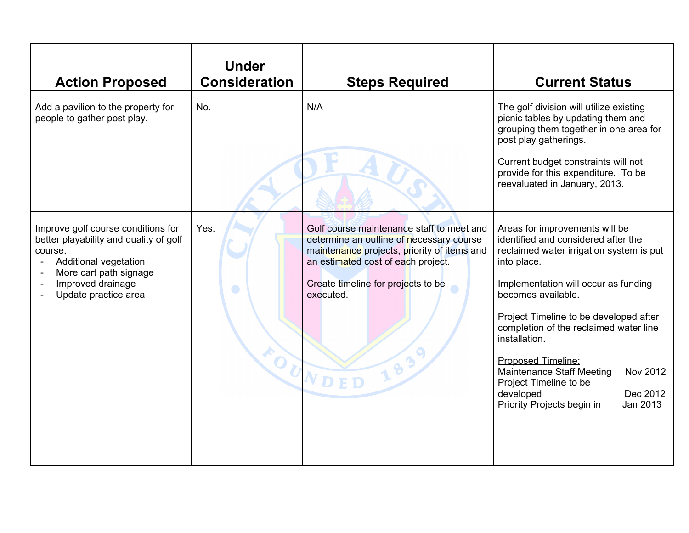| <b>Action Proposed</b>                                                                                                                                                                  | <b>Under</b><br><b>Consideration</b> | <b>Steps Required</b>                                                                                                                                                                                                                               | <b>Current Status</b>                                                                                                                                                                                                                                                                                                                                                                                                                                                         |
|-----------------------------------------------------------------------------------------------------------------------------------------------------------------------------------------|--------------------------------------|-----------------------------------------------------------------------------------------------------------------------------------------------------------------------------------------------------------------------------------------------------|-------------------------------------------------------------------------------------------------------------------------------------------------------------------------------------------------------------------------------------------------------------------------------------------------------------------------------------------------------------------------------------------------------------------------------------------------------------------------------|
| Add a pavilion to the property for<br>people to gather post play.                                                                                                                       | No.                                  | N/A                                                                                                                                                                                                                                                 | The golf division will utilize existing<br>picnic tables by updating them and<br>grouping them together in one area for<br>post play gatherings.                                                                                                                                                                                                                                                                                                                              |
|                                                                                                                                                                                         |                                      |                                                                                                                                                                                                                                                     | Current budget constraints will not<br>provide for this expenditure. To be<br>reevaluated in January, 2013.                                                                                                                                                                                                                                                                                                                                                                   |
| Improve golf course conditions for<br>better playability and quality of golf<br>course.<br>Additional vegetation<br>More cart path signage<br>Improved drainage<br>Update practice area | Yes.<br>$\bullet$                    | Golf course maintenance staff to meet and<br>determine an outline of necessary course<br>maintenance projects, priority of items and<br>an estimated cost of each project.<br>Create timeline for projects to be<br>executed.<br>FOUNDED<br>$6^{3}$ | Areas for improvements will be<br>identified and considered after the<br>reclaimed water irrigation system is put<br>into place.<br>Implementation will occur as funding<br>becomes available.<br>Project Timeline to be developed after<br>completion of the reclaimed water line<br>installation.<br><b>Proposed Timeline:</b><br><b>Maintenance Staff Meeting</b><br>Nov 2012<br>Project Timeline to be<br>Dec 2012<br>developed<br>Priority Projects begin in<br>Jan 2013 |